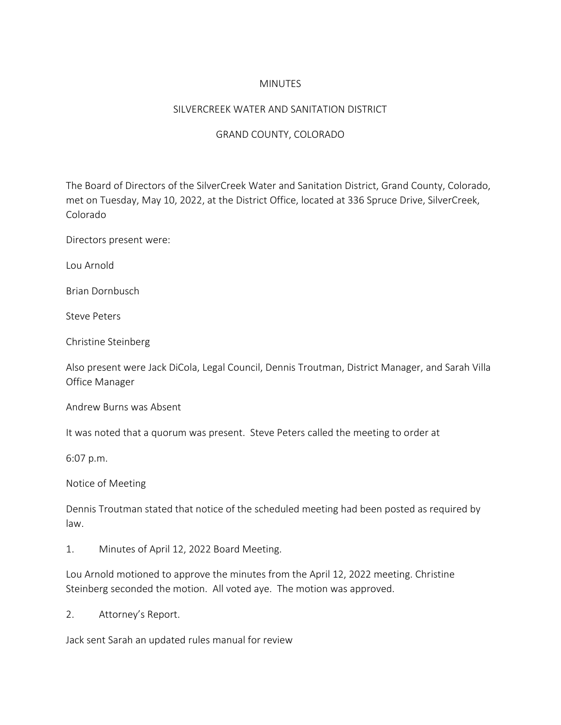## MINUTES

## SILVERCREEK WATER AND SANITATION DISTRICT

## GRAND COUNTY, COLORADO

The Board of Directors of the SilverCreek Water and Sanitation District, Grand County, Colorado, met on Tuesday, May 10, 2022, at the District Office, located at 336 Spruce Drive, SilverCreek, Colorado

Directors present were:

Lou Arnold

Brian Dornbusch

Steve Peters

Christine Steinberg

Also present were Jack DiCola, Legal Council, Dennis Troutman, District Manager, and Sarah Villa Office Manager

Andrew Burns was Absent

It was noted that a quorum was present. Steve Peters called the meeting to order at

6:07 p.m.

Notice of Meeting

Dennis Troutman stated that notice of the scheduled meeting had been posted as required by law.

1. Minutes of April 12, 2022 Board Meeting.

Lou Arnold motioned to approve the minutes from the April 12, 2022 meeting. Christine Steinberg seconded the motion. All voted aye. The motion was approved.

2. Attorney's Report.

Jack sent Sarah an updated rules manual for review